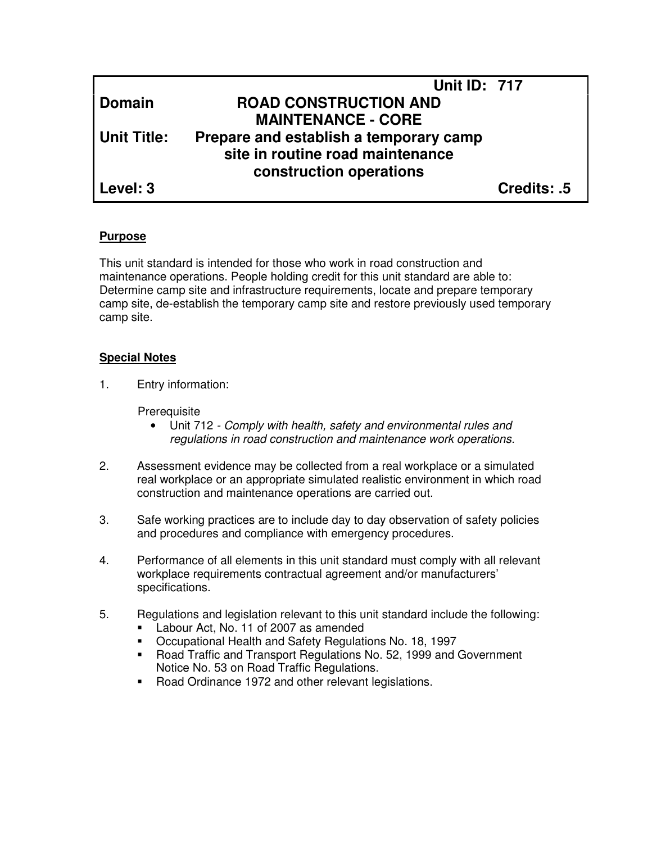|             | <b>Unit ID: 717</b>                    |             |
|-------------|----------------------------------------|-------------|
| Domain      | <b>ROAD CONSTRUCTION AND</b>           |             |
|             | <b>MAINTENANCE - CORE</b>              |             |
| Unit Title: | Prepare and establish a temporary camp |             |
|             | site in routine road maintenance       |             |
|             | construction operations                |             |
| Level: 3    |                                        | Credits: .5 |

### **Purpose**

This unit standard is intended for those who work in road construction and maintenance operations. People holding credit for this unit standard are able to: Determine camp site and infrastructure requirements, locate and prepare temporary camp site, de-establish the temporary camp site and restore previously used temporary camp site.

### **Special Notes**

1. Entry information:

Prerequisite

- Unit 712 Comply with health, safety and environmental rules and regulations in road construction and maintenance work operations.
- 2. Assessment evidence may be collected from a real workplace or a simulated real workplace or an appropriate simulated realistic environment in which road construction and maintenance operations are carried out.
- 3. Safe working practices are to include day to day observation of safety policies and procedures and compliance with emergency procedures.
- 4. Performance of all elements in this unit standard must comply with all relevant workplace requirements contractual agreement and/or manufacturers' specifications.
- 5. Regulations and legislation relevant to this unit standard include the following:
	- Labour Act, No. 11 of 2007 as amended
	- Occupational Health and Safety Regulations No. 18, 1997
	- Road Traffic and Transport Regulations No. 52, 1999 and Government Notice No. 53 on Road Traffic Regulations.
	- Road Ordinance 1972 and other relevant legislations.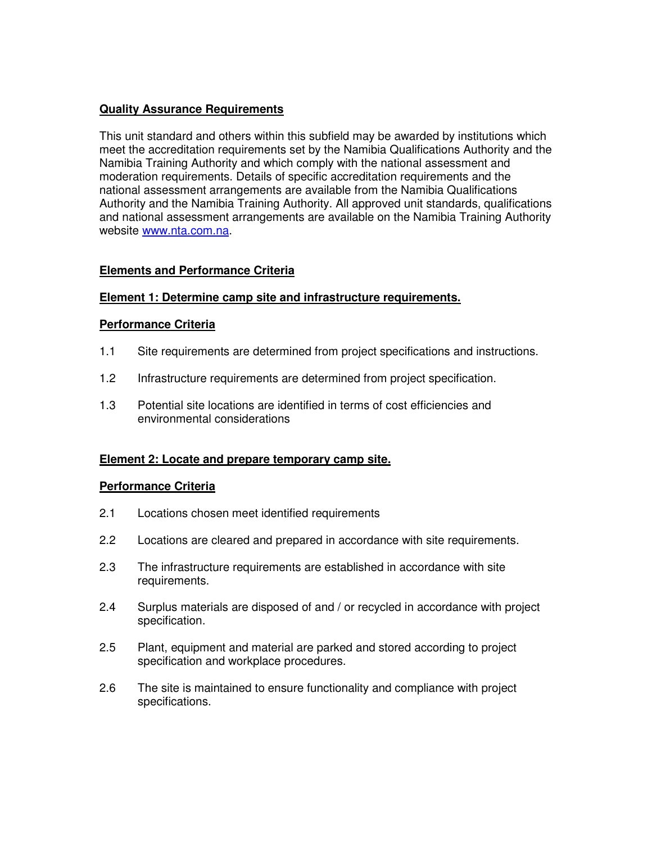## **Quality Assurance Requirements**

This unit standard and others within this subfield may be awarded by institutions which meet the accreditation requirements set by the Namibia Qualifications Authority and the Namibia Training Authority and which comply with the national assessment and moderation requirements. Details of specific accreditation requirements and the national assessment arrangements are available from the Namibia Qualifications Authority and the Namibia Training Authority. All approved unit standards, qualifications and national assessment arrangements are available on the Namibia Training Authority website www.nta.com.na.

## **Elements and Performance Criteria**

## **Element 1: Determine camp site and infrastructure requirements.**

### **Performance Criteria**

- 1.1 Site requirements are determined from project specifications and instructions.
- 1.2 Infrastructure requirements are determined from project specification.
- 1.3 Potential site locations are identified in terms of cost efficiencies and environmental considerations

# **Element 2: Locate and prepare temporary camp site.**

### **Performance Criteria**

- 2.1 Locations chosen meet identified requirements
- 2.2 Locations are cleared and prepared in accordance with site requirements.
- 2.3 The infrastructure requirements are established in accordance with site requirements.
- 2.4 Surplus materials are disposed of and / or recycled in accordance with project specification.
- 2.5 Plant, equipment and material are parked and stored according to project specification and workplace procedures.
- 2.6 The site is maintained to ensure functionality and compliance with project specifications.